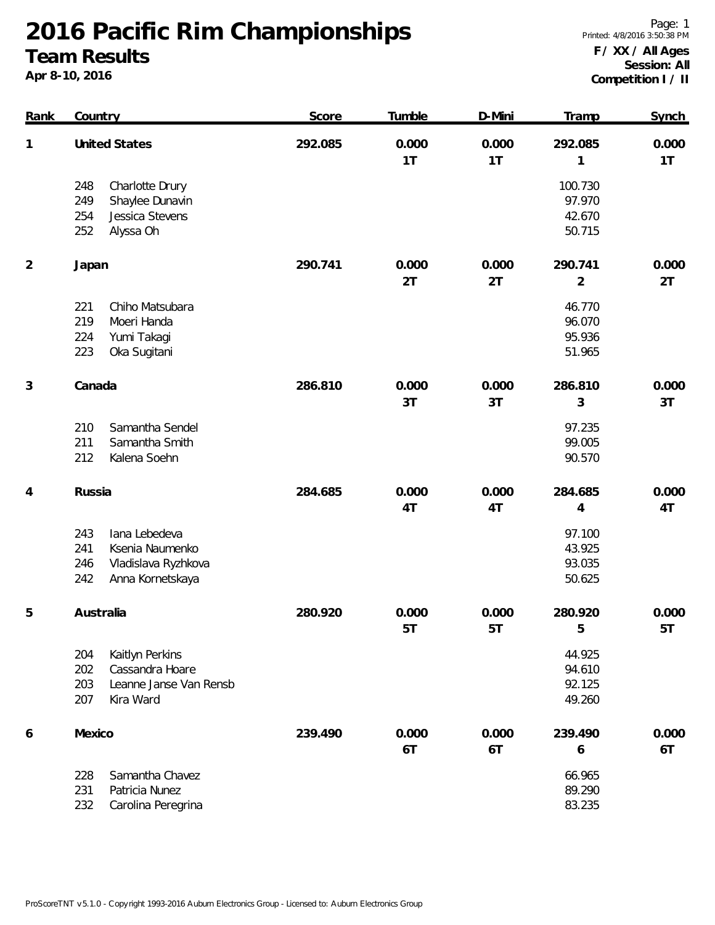**2016 Pacific Rim Championships Team Results**

**Apr 8-10, 2016**

Page: 1 Printed: 4/8/2016 3:50:38 PM

## **F / XX / All Ages Session: All Competition I / II**

| <b>Rank</b>    | Country                                                                                                 | Score   | Tumble      | D-Mini      | Tramp                                 | Synch       |
|----------------|---------------------------------------------------------------------------------------------------------|---------|-------------|-------------|---------------------------------------|-------------|
| 1              | <b>United States</b>                                                                                    | 292.085 | 0.000<br>1T | 0.000<br>1T | 292.085<br>$\mathbf{1}$               | 0.000<br>1T |
|                | Charlotte Drury<br>248<br>249<br>Shaylee Dunavin<br>Jessica Stevens<br>254<br>252<br>Alyssa Oh          |         |             |             | 100.730<br>97.970<br>42.670<br>50.715 |             |
| $\overline{2}$ | Japan                                                                                                   | 290.741 | 0.000<br>2T | 0.000<br>2T | 290.741<br>$\overline{2}$             | 0.000<br>2T |
|                | Chiho Matsubara<br>221<br>219<br>Moeri Handa<br>224<br>Yumi Takagi<br>223<br>Oka Sugitani               |         |             |             | 46.770<br>96.070<br>95.936<br>51.965  |             |
| 3              | Canada                                                                                                  | 286.810 | 0.000<br>3T | 0.000<br>3T | 286.810<br>3                          | 0.000<br>3T |
|                | Samantha Sendel<br>210<br>211<br>Samantha Smith<br>212<br>Kalena Soehn                                  |         |             |             | 97.235<br>99.005<br>90.570            |             |
| 4              | Russia                                                                                                  | 284.685 | 0.000<br>4T | 0.000<br>4T | 284.685<br>4                          | 0.000<br>4T |
|                | 243<br>lana Lebedeva<br>241<br>Ksenia Naumenko<br>246<br>Vladislava Ryzhkova<br>242<br>Anna Kornetskaya |         |             |             | 97.100<br>43.925<br>93.035<br>50.625  |             |
| 5              | Australia                                                                                               | 280.920 | 0.000<br>5T | 0.000<br>5T | 280.920<br>5                          | 0.000<br>5T |
|                | Kaitlyn Perkins<br>204<br>202<br>Cassandra Hoare<br>203<br>Leanne Janse Van Rensb<br>207<br>Kira Ward   |         |             |             | 44.925<br>94.610<br>92.125<br>49.260  |             |
| 6              | Mexico                                                                                                  | 239.490 | 0.000<br>6T | 0.000<br>6T | 239.490<br>6                          | 0.000<br>6T |
|                | 228<br>Samantha Chavez<br>231<br>Patricia Nunez<br>232<br>Carolina Peregrina                            |         |             |             | 66.965<br>89.290<br>83.235            |             |